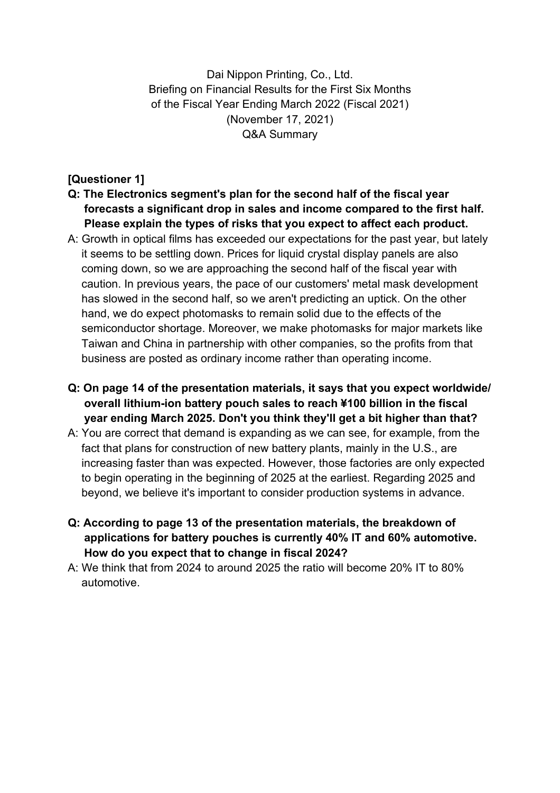Dai Nippon Printing, Co., Ltd. Briefing on Financial Results for the First Six Months of the Fiscal Year Ending March 2022 (Fiscal 2021) (November 17, 2021) Q&A Summary

## **[Questioner 1]**

- **Q: The Electronics segment's plan for the second half of the fiscal year forecasts a significant drop in sales and income compared to the first half. Please explain the types of risks that you expect to affect each product.**
- A: Growth in optical films has exceeded our expectations for the past year, but lately it seems to be settling down. Prices for liquid crystal display panels are also coming down, so we are approaching the second half of the fiscal year with caution. In previous years, the pace of our customers' metal mask development has slowed in the second half, so we aren't predicting an uptick. On the other hand, we do expect photomasks to remain solid due to the effects of the semiconductor shortage. Moreover, we make photomasks for major markets like Taiwan and China in partnership with other companies, so the profits from that business are posted as ordinary income rather than operating income.
- **Q: On page 14 of the presentation materials, it says that you expect worldwide/ overall lithium-ion battery pouch sales to reach ¥100 billion in the fiscal year ending March 2025. Don't you think they'll get a bit higher than that?**
- A: You are correct that demand is expanding as we can see, for example, from the fact that plans for construction of new battery plants, mainly in the U.S., are increasing faster than was expected. However, those factories are only expected to begin operating in the beginning of 2025 at the earliest. Regarding 2025 and beyond, we believe it's important to consider production systems in advance.
- **Q: According to page 13 of the presentation materials, the breakdown of applications for battery pouches is currently 40% IT and 60% automotive. How do you expect that to change in fiscal 2024?**
- A: We think that from 2024 to around 2025 the ratio will become 20% IT to 80% automotive.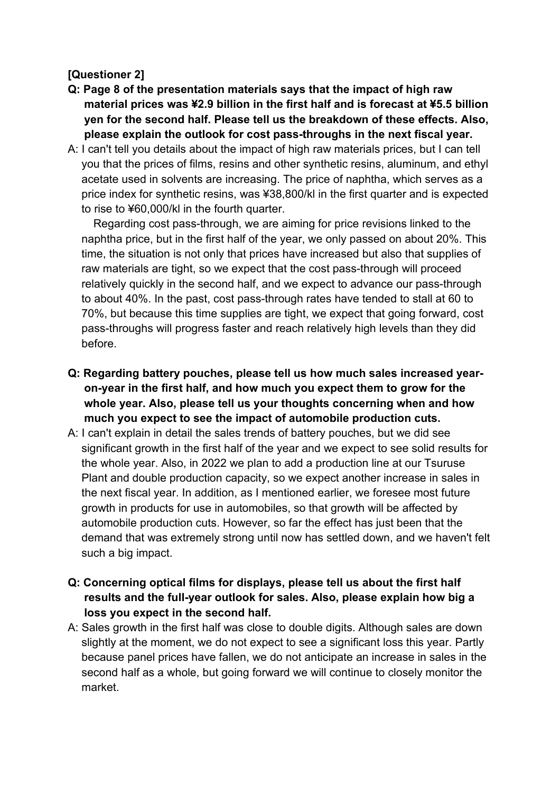## **[Questioner 2]**

- **Q: Page 8 of the presentation materials says that the impact of high raw material prices was ¥2.9 billion in the first half and is forecast at ¥5.5 billion yen for the second half. Please tell us the breakdown of these effects. Also, please explain the outlook for cost pass-throughs in the next fiscal year.**
- A: I can't tell you details about the impact of high raw materials prices, but I can tell you that the prices of films, resins and other synthetic resins, aluminum, and ethyl acetate used in solvents are increasing. The price of naphtha, which serves as a price index for synthetic resins, was ¥38,800/kl in the first quarter and is expected to rise to ¥60,000/kl in the fourth quarter.

Regarding cost pass-through, we are aiming for price revisions linked to the naphtha price, but in the first half of the year, we only passed on about 20%. This time, the situation is not only that prices have increased but also that supplies of raw materials are tight, so we expect that the cost pass-through will proceed relatively quickly in the second half, and we expect to advance our pass-through to about 40%. In the past, cost pass-through rates have tended to stall at 60 to 70%, but because this time supplies are tight, we expect that going forward, cost pass-throughs will progress faster and reach relatively high levels than they did before.

- **Q: Regarding battery pouches, please tell us how much sales increased yearon-year in the first half, and how much you expect them to grow for the whole year. Also, please tell us your thoughts concerning when and how much you expect to see the impact of automobile production cuts.**
- A: I can't explain in detail the sales trends of battery pouches, but we did see significant growth in the first half of the year and we expect to see solid results for the whole year. Also, in 2022 we plan to add a production line at our Tsuruse Plant and double production capacity, so we expect another increase in sales in the next fiscal year. In addition, as I mentioned earlier, we foresee most future growth in products for use in automobiles, so that growth will be affected by automobile production cuts. However, so far the effect has just been that the demand that was extremely strong until now has settled down, and we haven't felt such a big impact.
- **Q: Concerning optical films for displays, please tell us about the first half results and the full-year outlook for sales. Also, please explain how big a loss you expect in the second half.**
- A: Sales growth in the first half was close to double digits. Although sales are down slightly at the moment, we do not expect to see a significant loss this year. Partly because panel prices have fallen, we do not anticipate an increase in sales in the second half as a whole, but going forward we will continue to closely monitor the market.